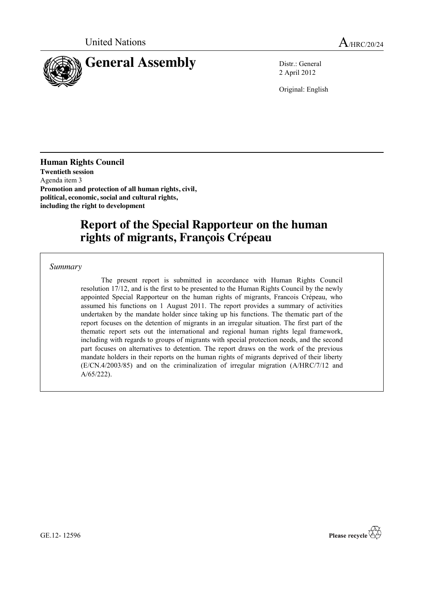

2 April 2012

Original: English

**Human Rights Council Twentieth session** Agenda item 3 **Promotion and protection of all human rights, civil, political, economic, social and cultural rights, including the right to development**

# **Report of the Special Rapporteur on the human rights of migrants, François Crépeau**

*Summary*

The present report is submitted in accordance with Human Rights Council resolution 17/12, and is the first to be presented to the Human Rights Council by the newly appointed Special Rapporteur on the human rights of migrants, Francois Crépeau, who assumed his functions on 1 August 2011. The report provides a summary of activities undertaken by the mandate holder since taking up his functions. The thematic part of the report focuses on the detention of migrants in an irregular situation. The first part of the thematic report sets out the international and regional human rights legal framework, including with regards to groups of migrants with special protection needs, and the second part focuses on alternatives to detention. The report draws on the work of the previous mandate holders in their reports on the human rights of migrants deprived of their liberty (E/CN.4/2003/85) and on the criminalization of irregular migration (A/HRC/7/12 and A/65/222).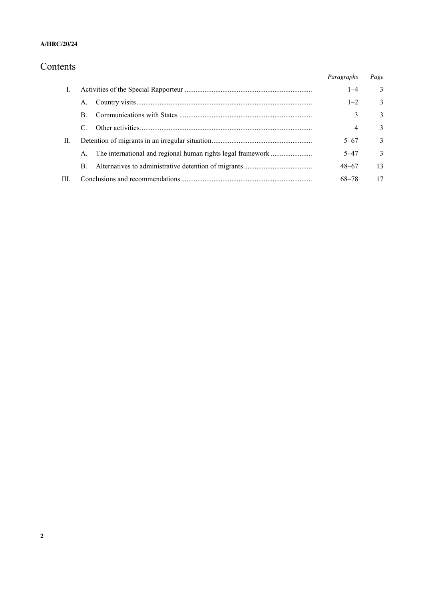## **A/HRC/20/24**

## Contents

| ບ⊥⊥ບ |             |  |            |               |
|------|-------------|--|------------|---------------|
|      |             |  | Paragraphs | Page          |
| Ι.   |             |  | $1 - 4$    | $\mathcal{E}$ |
|      | А.          |  | $1 - 2$    | $\mathcal{E}$ |
|      | B.          |  | 3          | $\mathcal{E}$ |
|      |             |  | 4          | 3             |
| П.   |             |  | $5 - 67$   | $\mathcal{E}$ |
|      | $A_{\cdot}$ |  | $5 - 47$   | $\mathcal{E}$ |
|      | B.          |  | $48 - 67$  | 13            |
| III. |             |  | 68–78      | 17            |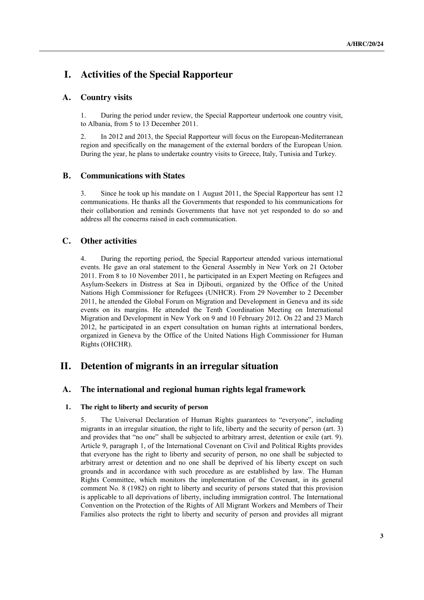## **I. Activities of the Special Rapporteur**

## **A. Country visits**

1. During the period under review, the Special Rapporteur undertook one country visit, to Albania, from 5 to 13 December 2011.

2. In 2012 and 2013, the Special Rapporteur will focus on the European-Mediterranean region and specifically on the management of the external borders of the European Union. During the year, he plans to undertake country visits to Greece, Italy, Tunisia and Turkey.

## **B. Communications with States**

3. Since he took up his mandate on 1 August 2011, the Special Rapporteur has sent 12 communications. He thanks all the Governments that responded to his communications for their collaboration and reminds Governments that have not yet responded to do so and address all the concerns raised in each communication.

## **C. Other activities**

4. During the reporting period, the Special Rapporteur attended various international events. He gave an oral statement to the General Assembly in New York on 21 October 2011. From 8 to 10 November 2011, he participated in an Expert Meeting on Refugees and Asylum-Seekers in Distress at Sea in Djibouti, organized by the Office of the United Nations High Commissioner for Refugees (UNHCR). From 29 November to 2 December 2011, he attended the Global Forum on Migration and Development in Geneva and its side events on its margins. He attended the Tenth Coordination Meeting on International Migration and Development in New York on 9 and 10 February 2012. On 22 and 23 March 2012, he participated in an expert consultation on human rights at international borders, organized in Geneva by the Office of the United Nations High Commissioner for Human Rights (OHCHR).

## **II. Detention of migrants in an irregular situation**

## **A. The international and regional human rights legal framework**

#### **1. The right to liberty and security of person**

5. The Universal Declaration of Human Rights guarantees to "everyone", including migrants in an irregular situation, the right to life, liberty and the security of person (art. 3) and provides that "no one" shall be subjected to arbitrary arrest, detention or exile (art. 9). Article 9, paragraph 1, of the International Covenant on Civil and Political Rights provides that everyone has the right to liberty and security of person, no one shall be subjected to arbitrary arrest or detention and no one shall be deprived of his liberty except on such grounds and in accordance with such procedure as are established by law. The Human Rights Committee, which monitors the implementation of the Covenant, in its general comment No. 8 (1982) on right to liberty and security of persons stated that this provision is applicable to all deprivations of liberty, including immigration control. The International Convention on the Protection of the Rights of All Migrant Workers and Members of Their Families also protects the right to liberty and security of person and provides all migrant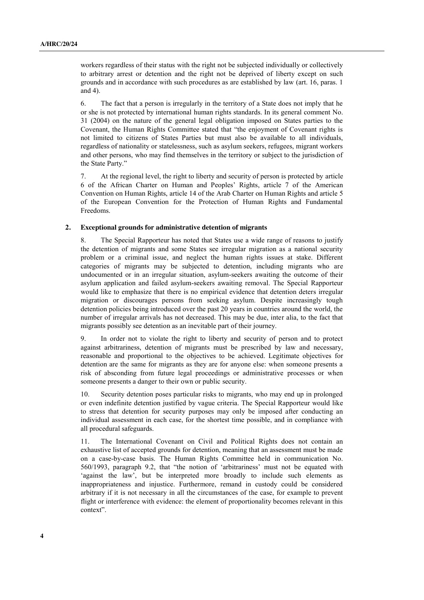workers regardless of their status with the right not be subjected individually or collectively to arbitrary arrest or detention and the right not be deprived of liberty except on such grounds and in accordance with such procedures as are established by law (art. 16, paras. 1 and 4).

6. The fact that a person is irregularly in the territory of a State does not imply that he or she is not protected by international human rights standards. In its general comment No. 31 (2004) on the nature of the general legal obligation imposed on States parties to the Covenant, the Human Rights Committee stated that "the enjoyment of Covenant rights is not limited to citizens of States Parties but must also be available to all individuals, regardless of nationality or statelessness, such as asylum seekers, refugees, migrant workers and other persons, who may find themselves in the territory or subject to the jurisdiction of the State Party."

7. At the regional level, the right to liberty and security of person is protected by article 6 of the African Charter on Human and Peoples' Rights, article 7 of the American Convention on Human Rights, article 14 of the Arab Charter on Human Rights and article 5 of the European Convention for the Protection of Human Rights and Fundamental Freedoms.

#### **2. Exceptional grounds for administrative detention of migrants**

8. The Special Rapporteur has noted that States use a wide range of reasons to justify the detention of migrants and some States see irregular migration as a national security problem or a criminal issue, and neglect the human rights issues at stake. Different categories of migrants may be subjected to detention, including migrants who are undocumented or in an irregular situation, asylum-seekers awaiting the outcome of their asylum application and failed asylum-seekers awaiting removal. The Special Rapporteur would like to emphasize that there is no empirical evidence that detention deters irregular migration or discourages persons from seeking asylum. Despite increasingly tough detention policies being introduced over the past 20 years in countries around the world, the number of irregular arrivals has not decreased. This may be due, inter alia, to the fact that migrants possibly see detention as an inevitable part of their journey.

9. In order not to violate the right to liberty and security of person and to protect against arbitrariness, detention of migrants must be prescribed by law and necessary, reasonable and proportional to the objectives to be achieved. Legitimate objectives for detention are the same for migrants as they are for anyone else: when someone presents a risk of absconding from future legal proceedings or administrative processes or when someone presents a danger to their own or public security.

10. Security detention poses particular risks to migrants, who may end up in prolonged or even indefinite detention justified by vague criteria. The Special Rapporteur would like to stress that detention for security purposes may only be imposed after conducting an individual assessment in each case, for the shortest time possible, and in compliance with all procedural safeguards.

11. The International Covenant on Civil and Political Rights does not contain an exhaustive list of accepted grounds for detention, meaning that an assessment must be made on a case-by-case basis. The Human Rights Committee held in communication No. 560/1993, paragraph 9.2, that "the notion of 'arbitrariness' must not be equated with 'against the law', but be interpreted more broadly to include such elements as inappropriateness and injustice. Furthermore, remand in custody could be considered arbitrary if it is not necessary in all the circumstances of the case, for example to prevent flight or interference with evidence: the element of proportionality becomes relevant in this context".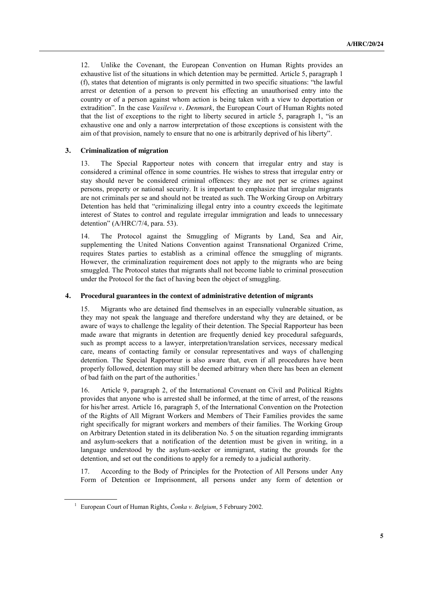12. Unlike the Covenant, the European Convention on Human Rights provides an exhaustive list of the situations in which detention may be permitted. Article 5, paragraph 1 (f), states that detention of migrants is only permitted in two specific situations: "the lawful arrest or detention of a person to prevent his effecting an unauthorised entry into the country or of a person against whom action is being taken with a view to deportation or extradition". In the case *Vasileva v. Denmark*, the European Court of Human Rights noted that the list of exceptions to the right to liberty secured in article 5, paragraph 1, "is an exhaustive one and only a narrow interpretation of those exceptions is consistent with the aim of that provision, namely to ensure that no one is arbitrarily deprived of his liberty".

### **3. Criminalization of migration**

13. The Special Rapporteur notes with concern that irregular entry and stay is considered a criminal offence in some countries. He wishes to stress that irregular entry or stay should never be considered criminal offences: they are not per se crimes against persons, property or national security. It is important to emphasize that irregular migrants are not criminals per se and should not be treated as such. The Working Group on Arbitrary Detention has held that "criminalizing illegal entry into a country exceeds the legitimate interest of States to control and regulate irregular immigration and leads to unnecessary detention" (A/HRC/7/4, para. 53).

14. The Protocol against the Smuggling of Migrants by Land, Sea and Air, supplementing the United Nations Convention against Transnational Organized Crime, requires States parties to establish as a criminal offence the smuggling of migrants. However, the criminalization requirement does not apply to the migrants who are being smuggled. The Protocol states that migrants shall not become liable to criminal prosecution under the Protocol for the fact of having been the object of smuggling.

#### **4. Procedural guarantees in the context of administrative detention of migrants**

15. Migrants who are detained find themselves in an especially vulnerable situation, as they may not speak the language and therefore understand why they are detained, or be aware of ways to challenge the legality of their detention. The Special Rapporteur has been made aware that migrants in detention are frequently denied key procedural safeguards, such as prompt access to a lawyer, interpretation/translation services, necessary medical care, means of contacting family or consular representatives and ways of challenging detention. The Special Rapporteur is also aware that, even if all procedures have been properly followed, detention may still be deemed arbitrary when there has been an element of bad faith on the part of the authorities.<sup>1</sup>

16. Article 9, paragraph 2, of the International Covenant on Civil and Political Rights provides that anyone who is arrested shall be informed, at the time of arrest, of the reasons for his/her arrest. Article 16, paragraph 5, of the International Convention on the Protection of the Rights of All Migrant Workers and Members of Their Families provides the same right specifically for migrant workers and members of their families. The Working Group on Arbitrary Detention stated in its deliberation No. 5 on the situation regarding immigrants and asylum-seekers that a notification of the detention must be given in writing, in a language understood by the asylum-seeker or immigrant, stating the grounds for the detention, and set out the conditions to apply for a remedy to a judicial authority.

17. According to the Body of Principles for the Protection of All Persons under Any Form of Detention or Imprisonment, all persons under any form of detention or

<sup>&</sup>lt;sup>1</sup> European Court of Human Rights, *Čonka v. Belgium*, 5 February 2002.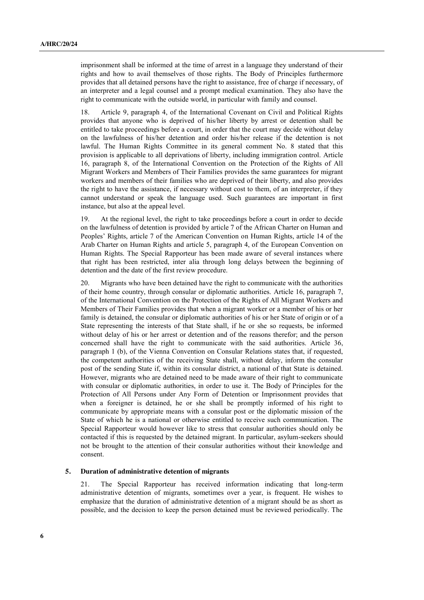imprisonment shall be informed at the time of arrest in a language they understand of their rights and how to avail themselves of those rights. The Body of Principles furthermore provides that all detained persons have the right to assistance, free of charge if necessary, of an interpreter and a legal counsel and a prompt medical examination. They also have the right to communicate with the outside world, in particular with family and counsel.

18. Article 9, paragraph 4, of the International Covenant on Civil and Political Rights provides that anyone who is deprived of his/her liberty by arrest or detention shall be entitled to take proceedings before a court, in order that the court may decide without delay on the lawfulness of his/her detention and order his/her release if the detention is not lawful. The Human Rights Committee in its general comment No. 8 stated that this provision is applicable to all deprivations of liberty, including immigration control. Article 16, paragraph 8, of the International Convention on the Protection of the Rights of All Migrant Workers and Members of Their Families provides the same guarantees for migrant workers and members of their families who are deprived of their liberty, and also provides the right to have the assistance, if necessary without cost to them, of an interpreter, if they cannot understand or speak the language used. Such guarantees are important in first instance, but also at the appeal level.

19. At the regional level, the right to take proceedings before a court in order to decide on the lawfulness of detention is provided by article 7 of the African Charter on Human and Peoples' Rights, article 7 of the American Convention on Human Rights, article 14 of the Arab Charter on Human Rights and article 5, paragraph 4, of the European Convention on Human Rights. The Special Rapporteur has been made aware of several instances where that right has been restricted, inter alia through long delays between the beginning of detention and the date of the first review procedure.

20. Migrants who have been detained have the right to communicate with the authorities of their home country, through consular or diplomatic authorities. Article 16, paragraph 7, of the International Convention on the Protection of the Rights of All Migrant Workers and Members of Their Families provides that when a migrant worker or a member of his or her family is detained, the consular or diplomatic authorities of his or her State of origin or of a State representing the interests of that State shall, if he or she so requests, be informed without delay of his or her arrest or detention and of the reasons therefor; and the person concerned shall have the right to communicate with the said authorities. Article 36, paragraph 1 (b), of the Vienna Convention on Consular Relations states that, if requested, the competent authorities of the receiving State shall, without delay, inform the consular post of the sending State if, within its consular district, a national of that State is detained. However, migrants who are detained need to be made aware of their right to communicate with consular or diplomatic authorities, in order to use it. The Body of Principles for the Protection of All Persons under Any Form of Detention or Imprisonment provides that when a foreigner is detained, he or she shall be promptly informed of his right to communicate by appropriate means with a consular post or the diplomatic mission of the State of which he is a national or otherwise entitled to receive such communication. The Special Rapporteur would however like to stress that consular authorities should only be contacted if this is requested by the detained migrant. In particular, asylum-seekers should not be brought to the attention of their consular authorities without their knowledge and consent.

#### **5. Duration of administrative detention of migrants**

21. The Special Rapporteur has received information indicating that long-term administrative detention of migrants, sometimes over a year, is frequent. He wishes to emphasize that the duration of administrative detention of a migrant should be as short as possible, and the decision to keep the person detained must be reviewed periodically. The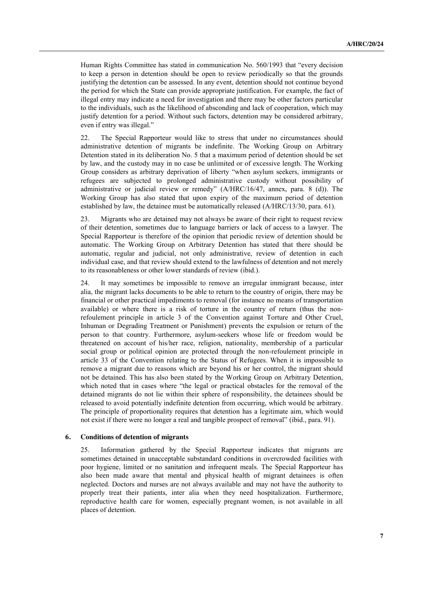Human Rights Committee has stated in communication No. 560/1993 that "every decision to keep a person in detention should be open to review periodically so that the grounds justifying the detention can be assessed. In any event, detention should not continue beyond the period for which the State can provide appropriate justification. For example, the fact of illegal entry may indicate a need for investigation and there may be other factors particular to the individuals, such as the likelihood of absconding and lack of cooperation, which may justify detention for a period. Without such factors, detention may be considered arbitrary, even if entry was illegal."

22. The Special Rapporteur would like to stress that under no circumstances should administrative detention of migrants be indefinite. The Working Group on Arbitrary Detention stated in its deliberation No. 5 that a maximum period of detention should be set by law, and the custody may in no case be unlimited or of excessive length. The Working Group considers as arbitrary deprivation of liberty "when asylum seekers, immigrants or refugees are subjected to prolonged administrative custody without possibility of administrative or judicial review or remedy" (A/HRC/16/47, annex, para. 8 (d)). The Working Group has also stated that upon expiry of the maximum period of detention established by law, the detainee must be automatically released (A/HRC/13/30, para. 61).

23. Migrants who are detained may not always be aware of their right to request review of their detention, sometimes due to language barriers or lack of access to a lawyer. The Special Rapporteur is therefore of the opinion that periodic review of detention should be automatic. The Working Group on Arbitrary Detention has stated that there should be automatic, regular and judicial, not only administrative, review of detention in each individual case, and that review should extend to the lawfulness of detention and not merely to its reasonableness or other lower standards of review (ibid.).

24. It may sometimes be impossible to remove an irregular immigrant because, inter alia, the migrant lacks documents to be able to return to the country of origin, there may be financial or other practical impediments to removal (for instance no means of transportation available) or where there is a risk of torture in the country of return (thus the nonrefoulement principle in article 3 of the Convention against Torture and Other Cruel, Inhuman or Degrading Treatment or Punishment) prevents the expulsion or return of the person to that country. Furthermore, asylum-seekers whose life or freedom would be threatened on account of his/her race, religion, nationality, membership of a particular social group or political opinion are protected through the non-refoulement principle in article 33 of the Convention relating to the Status of Refugees. When it is impossible to remove a migrant due to reasons which are beyond his or her control, the migrant should not be detained. This has also been stated by the Working Group on Arbitrary Detention, which noted that in cases where "the legal or practical obstacles for the removal of the detained migrants do not lie within their sphere of responsibility, the detainees should be released to avoid potentially indefinite detention from occurring, which would be arbitrary. The principle of proportionality requires that detention has a legitimate aim, which would not exist if there were no longer a real and tangible prospect of removal" (ibid., para. 91).

#### **6. Conditions of detention of migrants**

25. Information gathered by the Special Rapporteur indicates that migrants are sometimes detained in unacceptable substandard conditions in overcrowded facilities with poor hygiene, limited or no sanitation and infrequent meals. The Special Rapporteur has also been made aware that mental and physical health of migrant detainees is often neglected. Doctors and nurses are not always available and may not have the authority to properly treat their patients, inter alia when they need hospitalization. Furthermore, reproductive health care for women, especially pregnant women, is not available in all places of detention.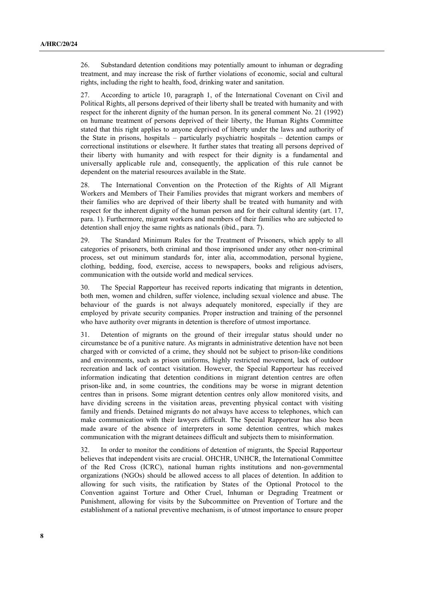26. Substandard detention conditions may potentially amount to inhuman or degrading treatment, and may increase the risk of further violations of economic, social and cultural rights, including the right to health, food, drinking water and sanitation.

27. According to article 10, paragraph 1, of the International Covenant on Civil and Political Rights, all persons deprived of their liberty shall be treated with humanity and with respect for the inherent dignity of the human person. In its general comment No. 21 (1992) on humane treatment of persons deprived of their liberty, the Human Rights Committee stated that this right applies to anyone deprived of liberty under the laws and authority of the State in prisons, hospitals – particularly psychiatric hospitals – detention camps or correctional institutions or elsewhere. It further states that treating all persons deprived of their liberty with humanity and with respect for their dignity is a fundamental and universally applicable rule and, consequently, the application of this rule cannot be dependent on the material resources available in the State.

28. The International Convention on the Protection of the Rights of All Migrant Workers and Members of Their Families provides that migrant workers and members of their families who are deprived of their liberty shall be treated with humanity and with respect for the inherent dignity of the human person and for their cultural identity (art. 17, para. 1). Furthermore, migrant workers and members of their families who are subjected to detention shall enjoy the same rights as nationals (ibid., para. 7).

29. The Standard Minimum Rules for the Treatment of Prisoners, which apply to all categories of prisoners, both criminal and those imprisoned under any other non-criminal process, set out minimum standards for, inter alia, accommodation, personal hygiene, clothing, bedding, food, exercise, access to newspapers, books and religious advisers, communication with the outside world and medical services.

30. The Special Rapporteur has received reports indicating that migrants in detention, both men, women and children, suffer violence, including sexual violence and abuse. The behaviour of the guards is not always adequately monitored, especially if they are employed by private security companies. Proper instruction and training of the personnel who have authority over migrants in detention is therefore of utmost importance.

31. Detention of migrants on the ground of their irregular status should under no circumstance be of a punitive nature. As migrants in administrative detention have not been charged with or convicted of a crime, they should not be subject to prison-like conditions and environments, such as prison uniforms, highly restricted movement, lack of outdoor recreation and lack of contact visitation. However, the Special Rapporteur has received information indicating that detention conditions in migrant detention centres are often prison-like and, in some countries, the conditions may be worse in migrant detention centres than in prisons. Some migrant detention centres only allow monitored visits, and have dividing screens in the visitation areas, preventing physical contact with visiting family and friends. Detained migrants do not always have access to telephones, which can make communication with their lawyers difficult. The Special Rapporteur has also been made aware of the absence of interpreters in some detention centres, which makes communication with the migrant detainees difficult and subjects them to misinformation.

32. In order to monitor the conditions of detention of migrants, the Special Rapporteur believes that independent visits are crucial. OHCHR, UNHCR, the International Committee of the Red Cross (ICRC), national human rights institutions and non-governmental organizations (NGOs) should be allowed access to all places of detention. In addition to allowing for such visits, the ratification by States of the Optional Protocol to the Convention against Torture and Other Cruel, Inhuman or Degrading Treatment or Punishment, allowing for visits by the Subcommittee on Prevention of Torture and the establishment of a national preventive mechanism, is of utmost importance to ensure proper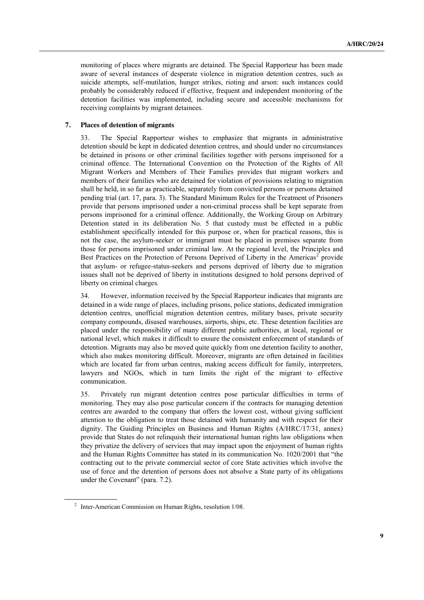monitoring of places where migrants are detained. The Special Rapporteur has been made aware of several instances of desperate violence in migration detention centres, such as suicide attempts, self-mutilation, hunger strikes, rioting and arson: such instances could probably be considerably reduced if effective, frequent and independent monitoring of the detention facilities was implemented, including secure and accessible mechanisms for receiving complaints by migrant detainees.

### **7. Places of detention of migrants**

33. The Special Rapporteur wishes to emphasize that migrants in administrative detention should be kept in dedicated detention centres, and should under no circumstances be detained in prisons or other criminal facilities together with persons imprisoned for a criminal offence. The International Convention on the Protection of the Rights of All Migrant Workers and Members of Their Families provides that migrant workers and members of their families who are detained for violation of provisions relating to migration shall be held, in so far as practicable, separately from convicted persons or persons detained pending trial (art. 17, para. 3). The Standard Minimum Rules for the Treatment of Prisoners provide that persons imprisoned under a non-criminal process shall be kept separate from persons imprisoned for a criminal offence. Additionally, the Working Group on Arbitrary Detention stated in its deliberation No. 5 that custody must be effected in a public establishment specifically intended for this purpose or, when for practical reasons, this is not the case, the asylum-seeker or immigrant must be placed in premises separate from those for persons imprisoned under criminal law. At the regional level, the Principles and Best Practices on the Protection of Persons Deprived of Liberty in the Americas<sup>2</sup> provide that asylum- or refugee-status-seekers and persons deprived of liberty due to migration issues shall not be deprived of liberty in institutions designed to hold persons deprived of liberty on criminal charges.

34. However, information received by the Special Rapporteur indicates that migrants are detained in a wide range of places, including prisons, police stations, dedicated immigration detention centres, unofficial migration detention centres, military bases, private security company compounds, disused warehouses, airports, ships, etc. These detention facilities are placed under the responsibility of many different public authorities, at local, regional or national level, which makes it difficult to ensure the consistent enforcement of standards of detention. Migrants may also be moved quite quickly from one detention facility to another, which also makes monitoring difficult. Moreover, migrants are often detained in facilities which are located far from urban centres, making access difficult for family, interpreters, lawyers and NGOs, which in turn limits the right of the migrant to effective communication.

35. Privately run migrant detention centres pose particular difficulties in terms of monitoring. They may also pose particular concern if the contracts for managing detention centres are awarded to the company that offers the lowest cost, without giving sufficient attention to the obligation to treat those detained with humanity and with respect for their dignity. The Guiding Principles on Business and Human Rights (A/HRC/17/31, annex) provide that States do not relinquish their international human rights law obligations when they privatize the delivery of services that may impact upon the enjoyment of human rights and the Human Rights Committee has stated in its communication No. 1020/2001 that "the contracting out to the private commercial sector of core State activities which involve the use of force and the detention of persons does not absolve a State party of its obligations under the Covenant" (para. 7.2).

<sup>2</sup> Inter-American Commission on Human Rights, resolution 1/08.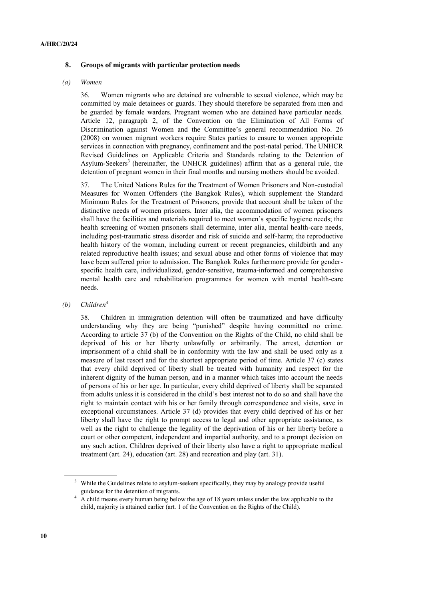#### **8. Groups of migrants with particular protection needs**

#### *(a) Women*

36. Women migrants who are detained are vulnerable to sexual violence, which may be committed by male detainees or guards. They should therefore be separated from men and be guarded by female warders. Pregnant women who are detained have particular needs. Article 12, paragraph 2, of the Convention on the Elimination of All Forms of Discrimination against Women and the Committee's general recommendation No. 26 (2008) on women migrant workers require States parties to ensure to women appropriate services in connection with pregnancy, confinement and the post-natal period. The UNHCR Revised Guidelines on Applicable Criteria and Standards relating to the Detention of Asylum-Seekers<sup>3</sup> (hereinafter, the UNHCR guidelines) affirm that as a general rule, the detention of pregnant women in their final months and nursing mothers should be avoided.

37. The United Nations Rules for the Treatment of Women Prisoners and Non-custodial Measures for Women Offenders (the Bangkok Rules), which supplement the Standard Minimum Rules for the Treatment of Prisoners, provide that account shall be taken of the distinctive needs of women prisoners. Inter alia, the accommodation of women prisoners shall have the facilities and materials required to meet women's specific hygiene needs; the health screening of women prisoners shall determine, inter alia, mental health-care needs, including post-traumatic stress disorder and risk of suicide and self-harm; the reproductive health history of the woman, including current or recent pregnancies, childbirth and any related reproductive health issues; and sexual abuse and other forms of violence that may have been suffered prior to admission. The Bangkok Rules furthermore provide for genderspecific health care, individualized, gender-sensitive, trauma-informed and comprehensive mental health care and rehabilitation programmes for women with mental health-care needs.

#### *(b) Children*<sup>4</sup>

38. Children in immigration detention will often be traumatized and have difficulty understanding why they are being "punished" despite having committed no crime. According to article 37 (b) of the Convention on the Rights of the Child, no child shall be deprived of his or her liberty unlawfully or arbitrarily. The arrest, detention or imprisonment of a child shall be in conformity with the law and shall be used only as a measure of last resort and for the shortest appropriate period of time. Article 37 (c) states that every child deprived of liberty shall be treated with humanity and respect for the inherent dignity of the human person, and in a manner which takes into account the needs of persons of his or her age. In particular, every child deprived of liberty shall be separated from adults unless it is considered in the child's best interest not to do so and shall have the right to maintain contact with his or her family through correspondence and visits, save in exceptional circumstances. Article 37 (d) provides that every child deprived of his or her liberty shall have the right to prompt access to legal and other appropriate assistance, as well as the right to challenge the legality of the deprivation of his or her liberty before a court or other competent, independent and impartial authority, and to a prompt decision on any such action. Children deprived of their liberty also have a right to appropriate medical treatment (art. 24), education (art. 28) and recreation and play (art. 31).

<sup>&</sup>lt;sup>3</sup> While the Guidelines relate to asylum-seekers specifically, they may by analogy provide useful guidance for the detention of migrants.

<sup>&</sup>lt;sup>4</sup> A child means every human being below the age of 18 years unless under the law applicable to the child, majority is attained earlier (art. 1 of the Convention on the Rights of the Child).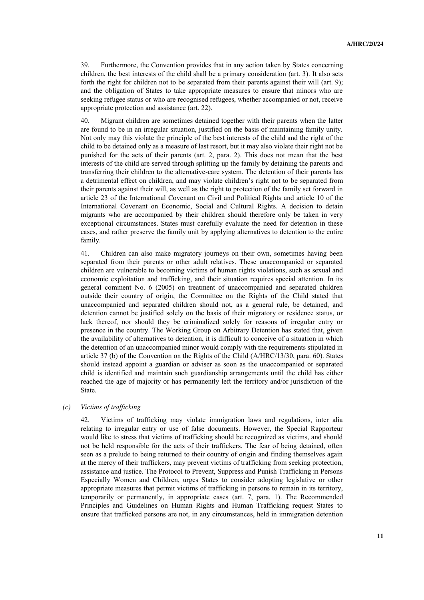39. Furthermore, the Convention provides that in any action taken by States concerning children, the best interests of the child shall be a primary consideration (art. 3). It also sets forth the right for children not to be separated from their parents against their will (art. 9); and the obligation of States to take appropriate measures to ensure that minors who are seeking refugee status or who are recognised refugees, whether accompanied or not, receive appropriate protection and assistance (art. 22).

40. Migrant children are sometimes detained together with their parents when the latter are found to be in an irregular situation, justified on the basis of maintaining family unity. Not only may this violate the principle of the best interests of the child and the right of the child to be detained only as a measure of last resort, but it may also violate their right not be punished for the acts of their parents (art. 2, para. 2). This does not mean that the best interests of the child are served through splitting up the family by detaining the parents and transferring their children to the alternative-care system. The detention of their parents has a detrimental effect on children, and may violate children's right not to be separated from their parents against their will, as well as the right to protection of the family set forward in article 23 of the International Covenant on Civil and Political Rights and article 10 of the International Covenant on Economic, Social and Cultural Rights. A decision to detain migrants who are accompanied by their children should therefore only be taken in very exceptional circumstances. States must carefully evaluate the need for detention in these cases, and rather preserve the family unit by applying alternatives to detention to the entire family.

41. Children can also make migratory journeys on their own, sometimes having been separated from their parents or other adult relatives. These unaccompanied or separated children are vulnerable to becoming victims of human rights violations, such as sexual and economic exploitation and trafficking, and their situation requires special attention. In its general comment No. 6 (2005) on treatment of unaccompanied and separated children outside their country of origin, the Committee on the Rights of the Child stated that unaccompanied and separated children should not, as a general rule, be detained, and detention cannot be justified solely on the basis of their migratory or residence status, or lack thereof, nor should they be criminalized solely for reasons of irregular entry or presence in the country. The Working Group on Arbitrary Detention has stated that, given the availability of alternatives to detention, it is difficult to conceive of a situation in which the detention of an unaccompanied minor would comply with the requirements stipulated in article 37 (b) of the Convention on the Rights of the Child (A/HRC/13/30, para. 60). States should instead appoint a guardian or adviser as soon as the unaccompanied or separated child is identified and maintain such guardianship arrangements until the child has either reached the age of majority or has permanently left the territory and/or jurisdiction of the State.

#### *(c) Victims of trafficking*

42. Victims of trafficking may violate immigration laws and regulations, inter alia relating to irregular entry or use of false documents. However, the Special Rapporteur would like to stress that victims of trafficking should be recognized as victims, and should not be held responsible for the acts of their traffickers. The fear of being detained, often seen as a prelude to being returned to their country of origin and finding themselves again at the mercy of their traffickers, may prevent victims of trafficking from seeking protection, assistance and justice. The Protocol to Prevent, Suppress and Punish Trafficking in Persons Especially Women and Children, urges States to consider adopting legislative or other appropriate measures that permit victims of trafficking in persons to remain in its territory, temporarily or permanently, in appropriate cases (art. 7, para. 1). The Recommended Principles and Guidelines on Human Rights and Human Trafficking request States to ensure that trafficked persons are not, in any circumstances, held in immigration detention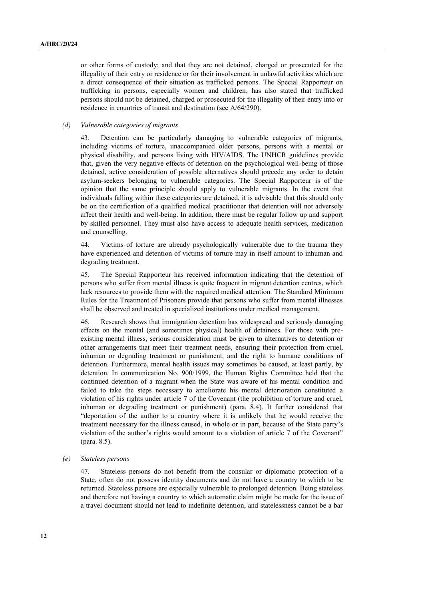or other forms of custody; and that they are not detained, charged or prosecuted for the illegality of their entry or residence or for their involvement in unlawful activities which are a direct consequence of their situation as trafficked persons. The Special Rapporteur on trafficking in persons, especially women and children, has also stated that trafficked persons should not be detained, charged or prosecuted for the illegality of their entry into or residence in countries of transit and destination (see A/64/290).

## *(d) Vulnerable categories of migrants*

43. Detention can be particularly damaging to vulnerable categories of migrants, including victims of torture, unaccompanied older persons, persons with a mental or physical disability, and persons living with HIV/AIDS. The UNHCR guidelines provide that, given the very negative effects of detention on the psychological well-being of those detained, active consideration of possible alternatives should precede any order to detain asylum-seekers belonging to vulnerable categories. The Special Rapporteur is of the opinion that the same principle should apply to vulnerable migrants. In the event that individuals falling within these categories are detained, it is advisable that this should only be on the certification of a qualified medical practitioner that detention will not adversely affect their health and well-being. In addition, there must be regular follow up and support by skilled personnel. They must also have access to adequate health services, medication and counselling.

44. Victims of torture are already psychologically vulnerable due to the trauma they have experienced and detention of victims of torture may in itself amount to inhuman and degrading treatment.

45. The Special Rapporteur has received information indicating that the detention of persons who suffer from mental illness is quite frequent in migrant detention centres, which lack resources to provide them with the required medical attention. The Standard Minimum Rules for the Treatment of Prisoners provide that persons who suffer from mental illnesses shall be observed and treated in specialized institutions under medical management.

46. Research shows that immigration detention has widespread and seriously damaging effects on the mental (and sometimes physical) health of detainees. For those with preexisting mental illness, serious consideration must be given to alternatives to detention or other arrangements that meet their treatment needs, ensuring their protection from cruel, inhuman or degrading treatment or punishment, and the right to humane conditions of detention. Furthermore, mental health issues may sometimes be caused, at least partly, by detention. In communication No. 900/1999, the Human Rights Committee held that the continued detention of a migrant when the State was aware of his mental condition and failed to take the steps necessary to ameliorate his mental deterioration constituted a violation of his rights under article 7 of the Covenant (the prohibition of torture and cruel, inhuman or degrading treatment or punishment) (para. 8.4). It further considered that "deportation of the author to a country where it is unlikely that he would receive the treatment necessary for the illness caused, in whole or in part, because of the State party's violation of the author's rights would amount to a violation of article 7 of the Covenant" (para. 8.5).

#### *(e) Stateless persons*

47. Stateless persons do not benefit from the consular or diplomatic protection of a State, often do not possess identity documents and do not have a country to which to be returned. Stateless persons are especially vulnerable to prolonged detention. Being stateless and therefore not having a country to which automatic claim might be made for the issue of a travel document should not lead to indefinite detention, and statelessness cannot be a bar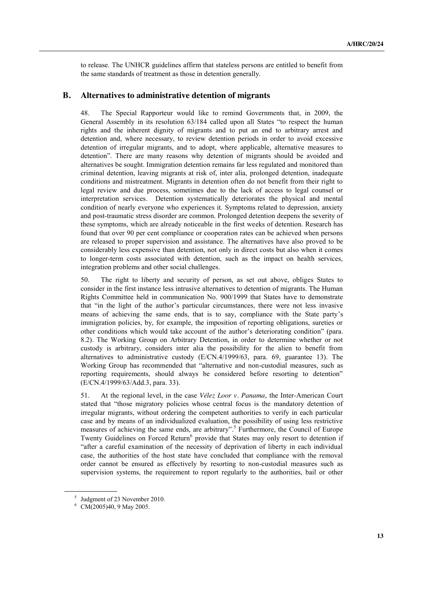to release. The UNHCR guidelines affirm that stateless persons are entitled to benefit from the same standards of treatment as those in detention generally.

### **B. Alternatives to administrative detention of migrants**

48. The Special Rapporteur would like to remind Governments that, in 2009, the General Assembly in its resolution 63/184 called upon all States "to respect the human rights and the inherent dignity of migrants and to put an end to arbitrary arrest and detention and, where necessary, to review detention periods in order to avoid excessive detention of irregular migrants, and to adopt, where applicable, alternative measures to detention". There are many reasons why detention of migrants should be avoided and alternatives be sought. Immigration detention remains far less regulated and monitored than criminal detention, leaving migrants at risk of, inter alia, prolonged detention, inadequate conditions and mistreatment. Migrants in detention often do not benefit from their right to legal review and due process, sometimes due to the lack of access to legal counsel or interpretation services. Detention systematically deteriorates the physical and mental condition of nearly everyone who experiences it. Symptoms related to depression, anxiety and post-traumatic stress disorder are common. Prolonged detention deepens the severity of these symptoms, which are already noticeable in the first weeks of detention. Research has found that over 90 per cent compliance or cooperation rates can be achieved when persons are released to proper supervision and assistance. The alternatives have also proved to be considerably less expensive than detention, not only in direct costs but also when it comes to longer-term costs associated with detention, such as the impact on health services, integration problems and other social challenges.

50. The right to liberty and security of person, as set out above, obliges States to consider in the first instance less intrusive alternatives to detention of migrants. The Human Rights Committee held in communication No. 900/1999 that States have to demonstrate that "in the light of the author's particular circumstances, there were not less invasive means of achieving the same ends, that is to say, compliance with the State party's immigration policies, by, for example, the imposition of reporting obligations, sureties or other conditions which would take account of the author's deteriorating condition" (para. 8.2). The Working Group on Arbitrary Detention, in order to determine whether or not custody is arbitrary, considers inter alia the possibility for the alien to benefit from alternatives to administrative custody (E/CN.4/1999/63, para. 69, guarantee 13). The Working Group has recommended that "alternative and non-custodial measures, such as reporting requirements, should always be considered before resorting to detention" (E/CN.4/1999/63/Add.3, para. 33).

51. At the regional level, in the case *Vélez Loor v. Panama*, the Inter-American Court stated that "those migratory policies whose central focus is the mandatory detention of irregular migrants, without ordering the competent authorities to verify in each particular case and by means of an individualized evaluation, the possibility of using less restrictive measures of achieving the same ends, are arbitrary". <sup>5</sup> Furthermore, the Council of Europe Twenty Guidelines on Forced Return<sup>6</sup> provide that States may only resort to detention if "after a careful examination of the necessity of deprivation of liberty in each individual case, the authorities of the host state have concluded that compliance with the removal order cannot be ensured as effectively by resorting to non-custodial measures such as supervision systems, the requirement to report regularly to the authorities, bail or other

<sup>5</sup> Judgment of 23 November 2010.

 $6$  CM(2005)40, 9 May 2005.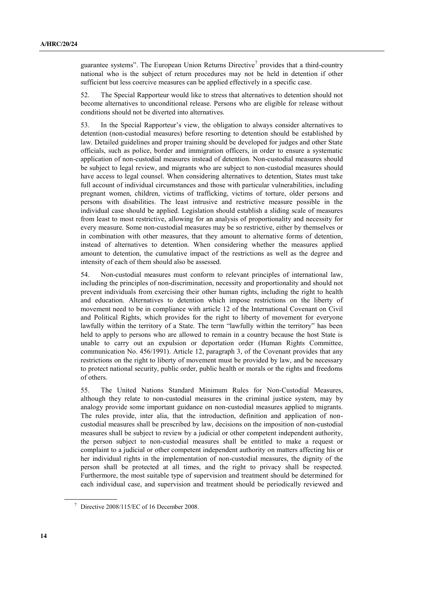guarantee systems". The European Union Returns Directive<sup>7</sup> provides that a third-country national who is the subject of return procedures may not be held in detention if other sufficient but less coercive measures can be applied effectively in a specific case.

52. The Special Rapporteur would like to stress that alternatives to detention should not become alternatives to unconditional release. Persons who are eligible for release without conditions should not be diverted into alternatives.

53. In the Special Rapporteur's view, the obligation to always consider alternatives to detention (non-custodial measures) before resorting to detention should be established by law. Detailed guidelines and proper training should be developed for judges and other State officials, such as police, border and immigration officers, in order to ensure a systematic application of non-custodial measures instead of detention. Non-custodial measures should be subject to legal review, and migrants who are subject to non-custodial measures should have access to legal counsel. When considering alternatives to detention, States must take full account of individual circumstances and those with particular vulnerabilities, including pregnant women, children, victims of trafficking, victims of torture, older persons and persons with disabilities. The least intrusive and restrictive measure possible in the individual case should be applied. Legislation should establish a sliding scale of measures from least to most restrictive, allowing for an analysis of proportionality and necessity for every measure. Some non-custodial measures may be so restrictive, either by themselves or in combination with other measures, that they amount to alternative forms of detention, instead of alternatives to detention. When considering whether the measures applied amount to detention, the cumulative impact of the restrictions as well as the degree and intensity of each of them should also be assessed.

54. Non-custodial measures must conform to relevant principles of international law, including the principles of non-discrimination, necessity and proportionality and should not prevent individuals from exercising their other human rights, including the right to health and education. Alternatives to detention which impose restrictions on the liberty of movement need to be in compliance with article 12 of the International Covenant on Civil and Political Rights, which provides for the right to liberty of movement for everyone lawfully within the territory of a State. The term "lawfully within the territory" has been held to apply to persons who are allowed to remain in a country because the host State is unable to carry out an expulsion or deportation order (Human Rights Committee, communication No. 456/1991). Article 12, paragraph 3, of the Covenant provides that any restrictions on the right to liberty of movement must be provided by law, and be necessary to protect national security, public order, public health or morals or the rights and freedoms of others.

55. The United Nations Standard Minimum Rules for Non-Custodial Measures, although they relate to non-custodial measures in the criminal justice system, may by analogy provide some important guidance on non-custodial measures applied to migrants. The rules provide, inter alia, that the introduction, definition and application of noncustodial measures shall be prescribed by law, decisions on the imposition of non-custodial measures shall be subject to review by a judicial or other competent independent authority, the person subject to non-custodial measures shall be entitled to make a request or complaint to a judicial or other competent independent authority on matters affecting his or her individual rights in the implementation of non-custodial measures, the dignity of the person shall be protected at all times, and the right to privacy shall be respected. Furthermore, the most suitable type of supervision and treatment should be determined for each individual case, and supervision and treatment should be periodically reviewed and

 $\frac{7}{1}$  Directive 2008/115/EC of 16 December 2008.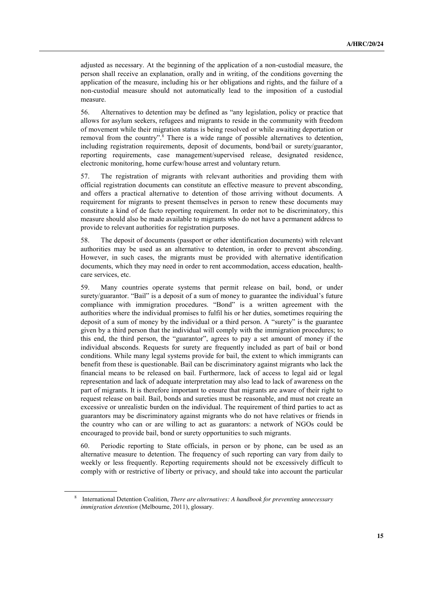adjusted as necessary. At the beginning of the application of a non-custodial measure, the person shall receive an explanation, orally and in writing, of the conditions governing the application of the measure, including his or her obligations and rights, and the failure of a non-custodial measure should not automatically lead to the imposition of a custodial measure.

56. Alternatives to detention may be defined as "any legislation, policy or practice that allows for asylum seekers, refugees and migrants to reside in the community with freedom of movement while their migration status is being resolved or while awaiting deportation or removal from the country".<sup>8</sup> There is a wide range of possible alternatives to detention, including registration requirements, deposit of documents, bond/bail or surety/guarantor, reporting requirements, case management/supervised release, designated residence, electronic monitoring, home curfew/house arrest and voluntary return.

57. The registration of migrants with relevant authorities and providing them with official registration documents can constitute an effective measure to prevent absconding, and offers a practical alternative to detention of those arriving without documents. A requirement for migrants to present themselves in person to renew these documents may constitute a kind of de facto reporting requirement. In order not to be discriminatory, this measure should also be made available to migrants who do not have a permanent address to provide to relevant authorities for registration purposes.

58. The deposit of documents (passport or other identification documents) with relevant authorities may be used as an alternative to detention, in order to prevent absconding. However, in such cases, the migrants must be provided with alternative identification documents, which they may need in order to rent accommodation, access education, healthcare services, etc.

59. Many countries operate systems that permit release on bail, bond, or under surety/guarantor. "Bail" is a deposit of a sum of money to guarantee the individual's future compliance with immigration procedures. "Bond" is a written agreement with the authorities where the individual promises to fulfil his or her duties, sometimes requiring the deposit of a sum of money by the individual or a third person. A "surety" is the guarantee given by a third person that the individual will comply with the immigration procedures; to this end, the third person, the "guarantor", agrees to pay a set amount of money if the individual absconds. Requests for surety are frequently included as part of bail or bond conditions. While many legal systems provide for bail, the extent to which immigrants can benefit from these is questionable. Bail can be discriminatory against migrants who lack the financial means to be released on bail. Furthermore, lack of access to legal aid or legal representation and lack of adequate interpretation may also lead to lack of awareness on the part of migrants. It is therefore important to ensure that migrants are aware of their right to request release on bail. Bail, bonds and sureties must be reasonable, and must not create an excessive or unrealistic burden on the individual. The requirement of third parties to act as guarantors may be discriminatory against migrants who do not have relatives or friends in the country who can or are willing to act as guarantors: a network of NGOs could be encouraged to provide bail, bond or surety opportunities to such migrants.

60. Periodic reporting to State officials, in person or by phone, can be used as an alternative measure to detention. The frequency of such reporting can vary from daily to weekly or less frequently. Reporting requirements should not be excessively difficult to comply with or restrictive of liberty or privacy, and should take into account the particular

<sup>8</sup> International Detention Coalition, *There are alternatives: A handbook for preventing unnecessary immigration detention* (Melbourne, 2011), glossary.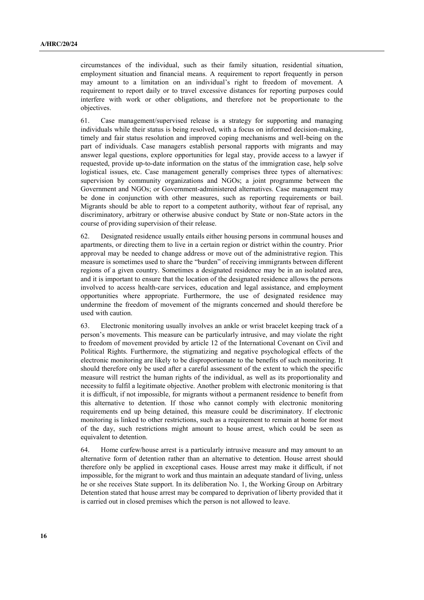circumstances of the individual, such as their family situation, residential situation, employment situation and financial means. A requirement to report frequently in person may amount to a limitation on an individual's right to freedom of movement. A requirement to report daily or to travel excessive distances for reporting purposes could interfere with work or other obligations, and therefore not be proportionate to the objectives.

61. Case management/supervised release is a strategy for supporting and managing individuals while their status is being resolved, with a focus on informed decision-making, timely and fair status resolution and improved coping mechanisms and well-being on the part of individuals. Case managers establish personal rapports with migrants and may answer legal questions, explore opportunities for legal stay, provide access to a lawyer if requested, provide up-to-date information on the status of the immigration case, help solve logistical issues, etc. Case management generally comprises three types of alternatives: supervision by community organizations and NGOs; a joint programme between the Government and NGOs; or Government-administered alternatives. Case management may be done in conjunction with other measures, such as reporting requirements or bail. Migrants should be able to report to a competent authority, without fear of reprisal, any discriminatory, arbitrary or otherwise abusive conduct by State or non-State actors in the course of providing supervision of their release.

62. Designated residence usually entails either housing persons in communal houses and apartments, or directing them to live in a certain region or district within the country. Prior approval may be needed to change address or move out of the administrative region. This measure is sometimes used to share the "burden" of receiving immigrants between different regions of a given country. Sometimes a designated residence may be in an isolated area, and it is important to ensure that the location of the designated residence allows the persons involved to access health-care services, education and legal assistance, and employment opportunities where appropriate. Furthermore, the use of designated residence may undermine the freedom of movement of the migrants concerned and should therefore be used with caution.

63. Electronic monitoring usually involves an ankle or wrist bracelet keeping track of a person's movements. This measure can be particularly intrusive, and may violate the right to freedom of movement provided by article 12 of the International Covenant on Civil and Political Rights. Furthermore, the stigmatizing and negative psychological effects of the electronic monitoring are likely to be disproportionate to the benefits of such monitoring. It should therefore only be used after a careful assessment of the extent to which the specific measure will restrict the human rights of the individual, as well as its proportionality and necessity to fulfil a legitimate objective. Another problem with electronic monitoring is that it is difficult, if not impossible, for migrants without a permanent residence to benefit from this alternative to detention. If those who cannot comply with electronic monitoring requirements end up being detained, this measure could be discriminatory. If electronic monitoring is linked to other restrictions, such as a requirement to remain at home for most of the day, such restrictions might amount to house arrest, which could be seen as equivalent to detention.

64. Home curfew/house arrest is a particularly intrusive measure and may amount to an alternative form of detention rather than an alternative to detention. House arrest should therefore only be applied in exceptional cases. House arrest may make it difficult, if not impossible, for the migrant to work and thus maintain an adequate standard of living, unless he or she receives State support. In its deliberation No. 1, the Working Group on Arbitrary Detention stated that house arrest may be compared to deprivation of liberty provided that it is carried out in closed premises which the person is not allowed to leave.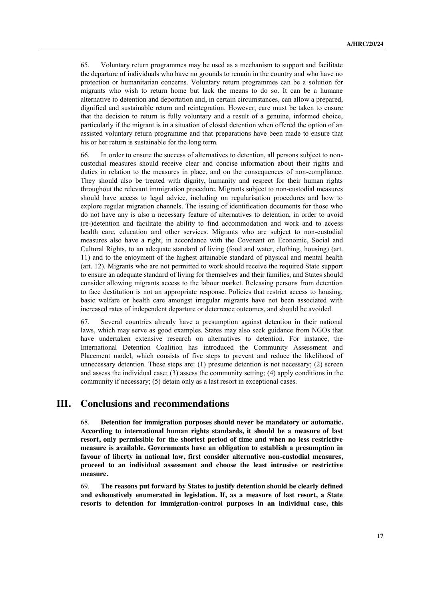65. Voluntary return programmes may be used as a mechanism to support and facilitate the departure of individuals who have no grounds to remain in the country and who have no protection or humanitarian concerns. Voluntary return programmes can be a solution for migrants who wish to return home but lack the means to do so. It can be a humane alternative to detention and deportation and, in certain circumstances, can allow a prepared, dignified and sustainable return and reintegration. However, care must be taken to ensure that the decision to return is fully voluntary and a result of a genuine, informed choice, particularly if the migrant is in a situation of closed detention when offered the option of an assisted voluntary return programme and that preparations have been made to ensure that his or her return is sustainable for the long term.

66. In order to ensure the success of alternatives to detention, all persons subject to noncustodial measures should receive clear and concise information about their rights and duties in relation to the measures in place, and on the consequences of non-compliance. They should also be treated with dignity, humanity and respect for their human rights throughout the relevant immigration procedure. Migrants subject to non-custodial measures should have access to legal advice, including on regularisation procedures and how to explore regular migration channels. The issuing of identification documents for those who do not have any is also a necessary feature of alternatives to detention, in order to avoid (re-)detention and facilitate the ability to find accommodation and work and to access health care, education and other services. Migrants who are subject to non-custodial measures also have a right, in accordance with the Covenant on Economic, Social and Cultural Rights, to an adequate standard of living (food and water, clothing, housing) (art. 11) and to the enjoyment of the highest attainable standard of physical and mental health (art. 12). Migrants who are not permitted to work should receive the required State support to ensure an adequate standard of living for themselves and their families, and States should consider allowing migrants access to the labour market. Releasing persons from detention to face destitution is not an appropriate response. Policies that restrict access to housing, basic welfare or health care amongst irregular migrants have not been associated with increased rates of independent departure or deterrence outcomes, and should be avoided.

67. Several countries already have a presumption against detention in their national laws, which may serve as good examples. States may also seek guidance from NGOs that have undertaken extensive research on alternatives to detention. For instance, the International Detention Coalition has introduced the Community Assessment and Placement model, which consists of five steps to prevent and reduce the likelihood of unnecessary detention. These steps are: (1) presume detention is not necessary; (2) screen and assess the individual case; (3) assess the community setting; (4) apply conditions in the community if necessary; (5) detain only as a last resort in exceptional cases.

## **III. Conclusions and recommendations**

68. **Detention for immigration purposes should never be mandatory or automatic. According to international human rights standards, it should be a measure of last resort, only permissible for the shortest period of time and when no less restrictive measure is available. Governments have an obligation to establish a presumption in favour of liberty in national law, first consider alternative non-custodial measures, proceed to an individual assessment and choose the least intrusive or restrictive measure.** 

69. **The reasons put forward by States to justify detention should be clearly defined and exhaustively enumerated in legislation. If, as a measure of last resort, a State resorts to detention for immigration-control purposes in an individual case, this**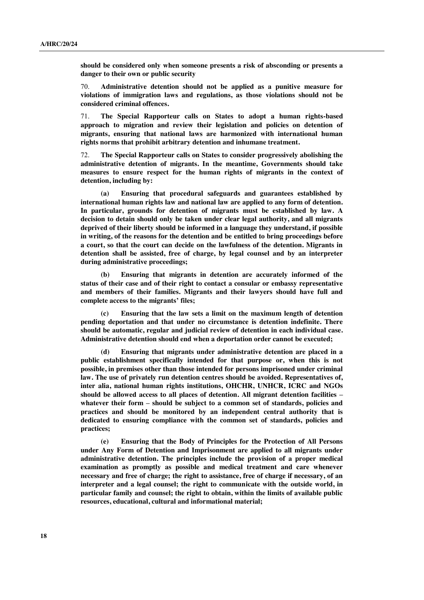**should be considered only when someone presents a risk of absconding or presents a danger to their own or public security**

70. **Administrative detention should not be applied as a punitive measure for violations of immigration laws and regulations, as those violations should not be considered criminal offences.**

71. **The Special Rapporteur calls on States to adopt a human rights-based approach to migration and review their legislation and policies on detention of migrants, ensuring that national laws are harmonized with international human rights norms that prohibit arbitrary detention and inhumane treatment.**

72. **The Special Rapporteur calls on States to consider progressively abolishing the administrative detention of migrants. In the meantime, Governments should take measures to ensure respect for the human rights of migrants in the context of detention, including by:**

**(a) Ensuring that procedural safeguards and guarantees established by international human rights law and national law are applied to any form of detention. In particular, grounds for detention of migrants must be established by law. A decision to detain should only be taken under clear legal authority, and all migrants deprived of their liberty should be informed in a language they understand, if possible in writing, of the reasons for the detention and be entitled to bring proceedings before a court, so that the court can decide on the lawfulness of the detention. Migrants in detention shall be assisted, free of charge, by legal counsel and by an interpreter during administrative proceedings;**

**(b) Ensuring that migrants in detention are accurately informed of the status of their case and of their right to contact a consular or embassy representative and members of their families. Migrants and their lawyers should have full and complete access to the migrants' files;**

**(c) Ensuring that the law sets a limit on the maximum length of detention pending deportation and that under no circumstance is detention indefinite. There should be automatic, regular and judicial review of detention in each individual case. Administrative detention should end when a deportation order cannot be executed;**

**(d) Ensuring that migrants under administrative detention are placed in a public establishment specifically intended for that purpose or, when this is not possible, in premises other than those intended for persons imprisoned under criminal law. The use of privately run detention centres should be avoided. Representatives of, inter alia, national human rights institutions, OHCHR, UNHCR, ICRC and NGOs should be allowed access to all places of detention. All migrant detention facilities – whatever their form – should be subject to a common set of standards, policies and practices and should be monitored by an independent central authority that is dedicated to ensuring compliance with the common set of standards, policies and practices;** 

**(e) Ensuring that the Body of Principles for the Protection of All Persons under Any Form of Detention and Imprisonment are applied to all migrants under administrative detention. The principles include the provision of a proper medical examination as promptly as possible and medical treatment and care whenever necessary and free of charge; the right to assistance, free of charge if necessary, of an interpreter and a legal counsel; the right to communicate with the outside world, in particular family and counsel; the right to obtain, within the limits of available public resources, educational, cultural and informational material;**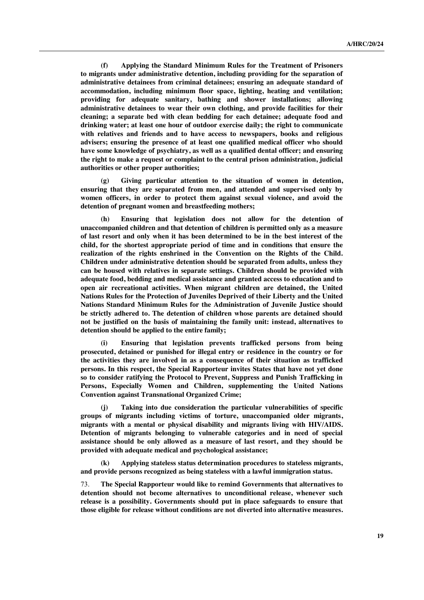**(f) Applying the Standard Minimum Rules for the Treatment of Prisoners to migrants under administrative detention, including providing for the separation of administrative detainees from criminal detainees; ensuring an adequate standard of accommodation, including minimum floor space, lighting, heating and ventilation; providing for adequate sanitary, bathing and shower installations; allowing administrative detainees to wear their own clothing, and provide facilities for their cleaning; a separate bed with clean bedding for each detainee; adequate food and drinking water; at least one hour of outdoor exercise daily; the right to communicate with relatives and friends and to have access to newspapers, books and religious advisers; ensuring the presence of at least one qualified medical officer who should have some knowledge of psychiatry, as well as a qualified dental officer; and ensuring the right to make a request or complaint to the central prison administration, judicial authorities or other proper authorities;**

**(g) Giving particular attention to the situation of women in detention, ensuring that they are separated from men, and attended and supervised only by women officers, in order to protect them against sexual violence, and avoid the detention of pregnant women and breastfeeding mothers;**

**(h) Ensuring that legislation does not allow for the detention of unaccompanied children and that detention of children is permitted only as a measure of last resort and only when it has been determined to be in the best interest of the child, for the shortest appropriate period of time and in conditions that ensure the realization of the rights enshrined in the Convention on the Rights of the Child. Children under administrative detention should be separated from adults, unless they can be housed with relatives in separate settings. Children should be provided with adequate food, bedding and medical assistance and granted access to education and to open air recreational activities. When migrant children are detained, the United Nations Rules for the Protection of Juveniles Deprived of their Liberty and the United Nations Standard Minimum Rules for the Administration of Juvenile Justice should be strictly adhered to. The detention of children whose parents are detained should not be justified on the basis of maintaining the family unit: instead, alternatives to detention should be applied to the entire family;** 

**(i) Ensuring that legislation prevents trafficked persons from being prosecuted, detained or punished for illegal entry or residence in the country or for the activities they are involved in as a consequence of their situation as trafficked persons. In this respect, the Special Rapporteur invites States that have not yet done so to consider ratifying the Protocol to Prevent, Suppress and Punish Trafficking in Persons, Especially Women and Children, supplementing the United Nations Convention against Transnational Organized Crime;**

**(j) Taking into due consideration the particular vulnerabilities of specific groups of migrants including victims of torture, unaccompanied older migrants, migrants with a mental or physical disability and migrants living with HIV/AIDS. Detention of migrants belonging to vulnerable categories and in need of special assistance should be only allowed as a measure of last resort, and they should be provided with adequate medical and psychological assistance;**

**(k) Applying stateless status determination procedures to stateless migrants, and provide persons recognized as being stateless with a lawful immigration status.**

73. **The Special Rapporteur would like to remind Governments that alternatives to detention should not become alternatives to unconditional release, whenever such release is a possibility. Governments should put in place safeguards to ensure that those eligible for release without conditions are not diverted into alternative measures.**